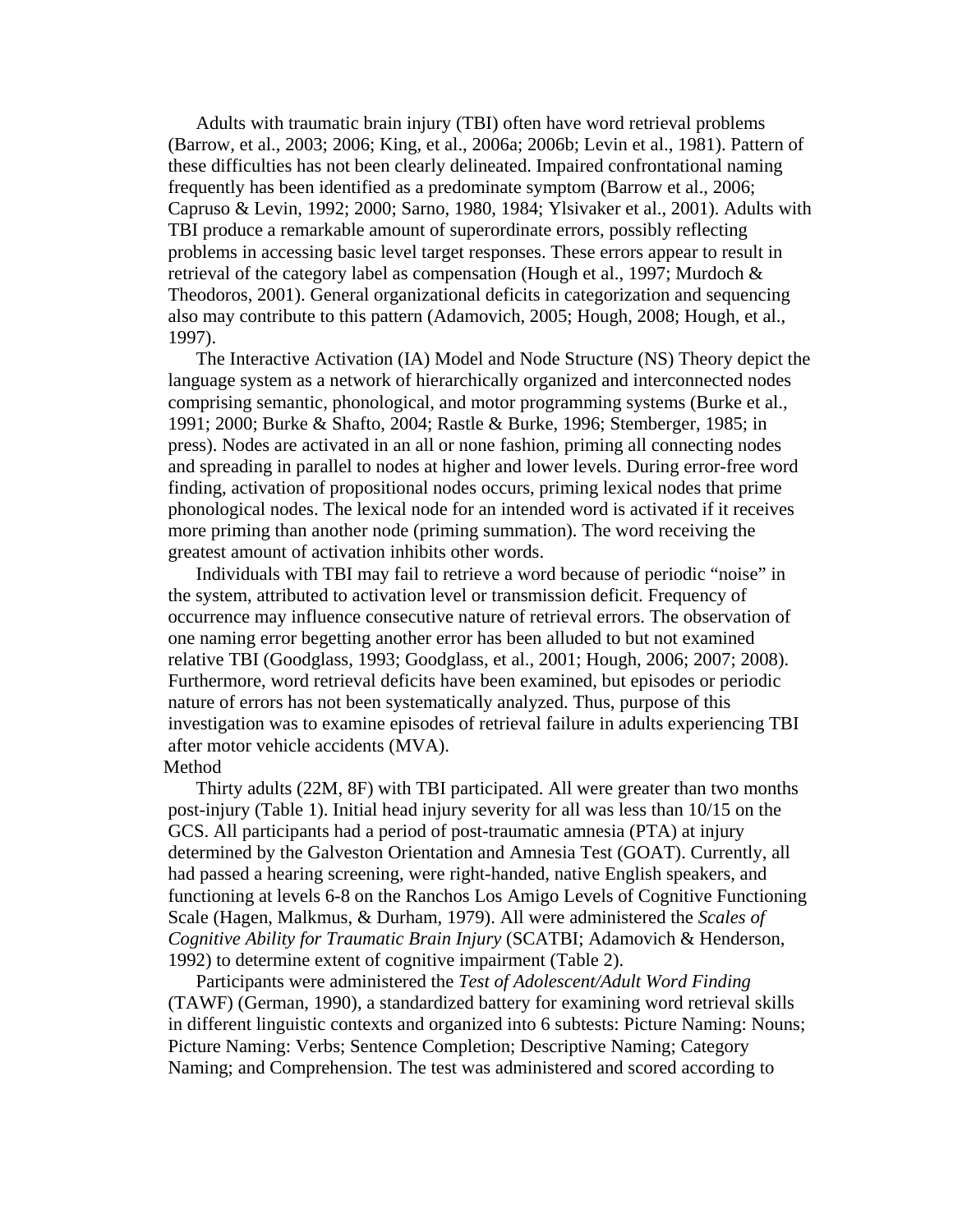Adults with traumatic brain injury (TBI) often have word retrieval problems (Barrow, et al., 2003; 2006; King, et al., 2006a; 2006b; Levin et al., 1981). Pattern of these difficulties has not been clearly delineated. Impaired confrontational naming frequently has been identified as a predominate symptom (Barrow et al., 2006; Capruso & Levin, 1992; 2000; Sarno, 1980, 1984; Ylsivaker et al., 2001). Adults with TBI produce a remarkable amount of superordinate errors, possibly reflecting problems in accessing basic level target responses. These errors appear to result in retrieval of the category label as compensation (Hough et al., 1997; Murdoch & Theodoros, 2001). General organizational deficits in categorization and sequencing also may contribute to this pattern (Adamovich, 2005; Hough, 2008; Hough, et al., 1997).

The Interactive Activation (IA) Model and Node Structure (NS) Theory depict the language system as a network of hierarchically organized and interconnected nodes comprising semantic, phonological, and motor programming systems (Burke et al., 1991; 2000; Burke & Shafto, 2004; Rastle & Burke, 1996; Stemberger, 1985; in press). Nodes are activated in an all or none fashion, priming all connecting nodes and spreading in parallel to nodes at higher and lower levels. During error-free word finding, activation of propositional nodes occurs, priming lexical nodes that prime phonological nodes. The lexical node for an intended word is activated if it receives more priming than another node (priming summation). The word receiving the greatest amount of activation inhibits other words.

Individuals with TBI may fail to retrieve a word because of periodic "noise" in the system, attributed to activation level or transmission deficit. Frequency of occurrence may influence consecutive nature of retrieval errors. The observation of one naming error begetting another error has been alluded to but not examined relative TBI (Goodglass, 1993; Goodglass, et al., 2001; Hough, 2006; 2007; 2008). Furthermore, word retrieval deficits have been examined, but episodes or periodic nature of errors has not been systematically analyzed. Thus, purpose of this investigation was to examine episodes of retrieval failure in adults experiencing TBI after motor vehicle accidents (MVA).

## Method

Thirty adults (22M, 8F) with TBI participated. All were greater than two months post-injury (Table 1). Initial head injury severity for all was less than 10/15 on the GCS. All participants had a period of post-traumatic amnesia (PTA) at injury determined by the Galveston Orientation and Amnesia Test (GOAT). Currently, all had passed a hearing screening, were right-handed, native English speakers, and functioning at levels 6-8 on the Ranchos Los Amigo Levels of Cognitive Functioning Scale (Hagen, Malkmus, & Durham, 1979). All were administered the *Scales of Cognitive Ability for Traumatic Brain Injury* (SCATBI; Adamovich & Henderson, 1992) to determine extent of cognitive impairment (Table 2).

Participants were administered the *Test of Adolescent/Adult Word Finding* (TAWF) (German, 1990), a standardized battery for examining word retrieval skills in different linguistic contexts and organized into 6 subtests: Picture Naming: Nouns; Picture Naming: Verbs; Sentence Completion; Descriptive Naming; Category Naming; and Comprehension. The test was administered and scored according to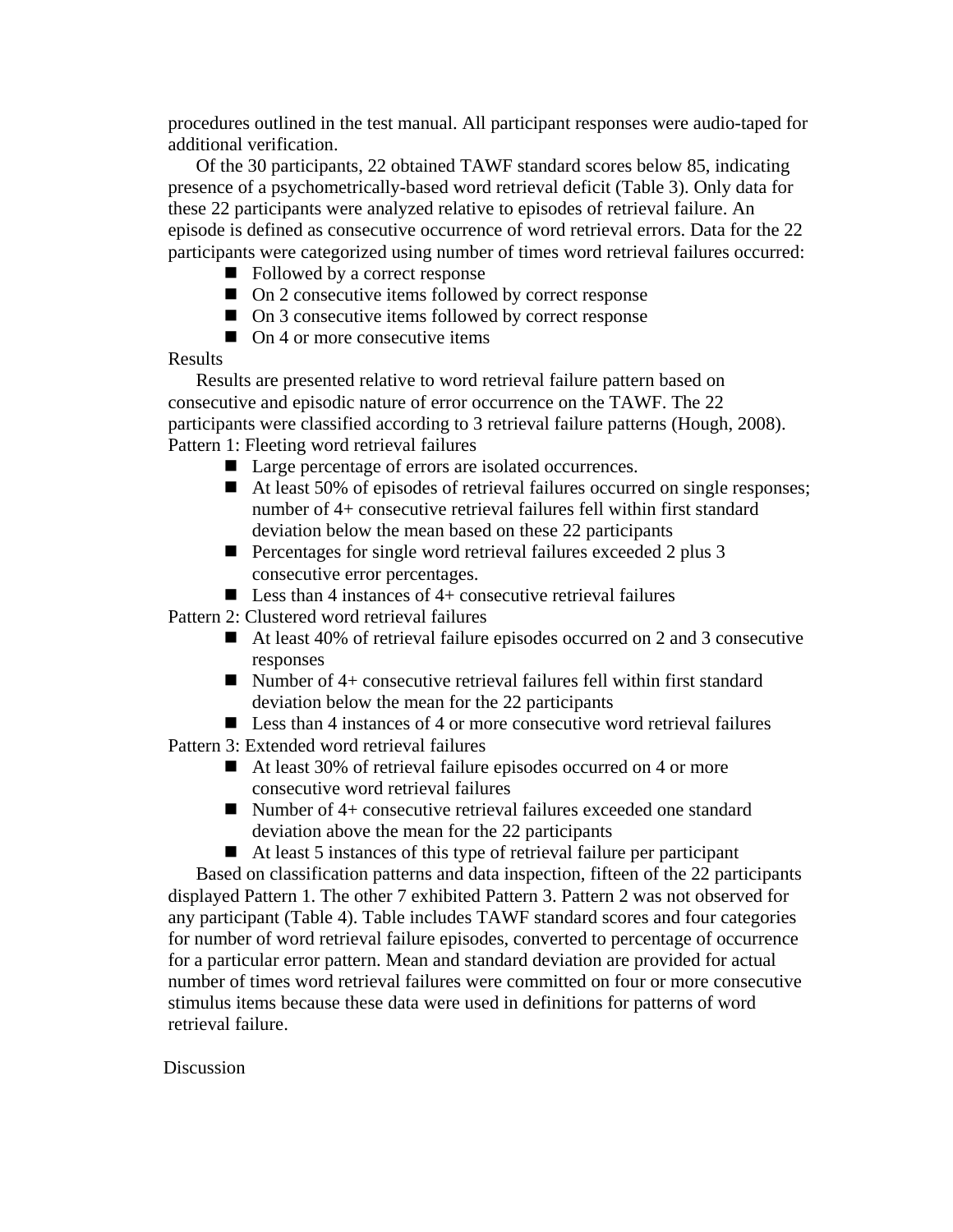procedures outlined in the test manual. All participant responses were audio-taped for additional verification.

Of the 30 participants, 22 obtained TAWF standard scores below 85, indicating presence of a psychometrically-based word retrieval deficit (Table 3). Only data for these 22 participants were analyzed relative to episodes of retrieval failure. An episode is defined as consecutive occurrence of word retrieval errors. Data for the 22 participants were categorized using number of times word retrieval failures occurred:

- Followed by a correct response
- On 2 consecutive items followed by correct response
- On 3 consecutive items followed by correct response
- $\Box$  On 4 or more consecutive items

## Results

Results are presented relative to word retrieval failure pattern based on consecutive and episodic nature of error occurrence on the TAWF. The 22 participants were classified according to 3 retrieval failure patterns (Hough, 2008). Pattern 1: Fleeting word retrieval failures

- Large percentage of errors are isolated occurrences.
- At least 50% of episodes of retrieval failures occurred on single responses; number of 4+ consecutive retrieval failures fell within first standard deviation below the mean based on these 22 participants
- Percentages for single word retrieval failures exceeded 2 plus 3 consecutive error percentages.
- **Less than 4 instances of 4+ consecutive retrieval failures**

Pattern 2: Clustered word retrieval failures

- At least 40% of retrieval failure episodes occurred on 2 and 3 consecutive responses
- $\blacksquare$  Number of 4+ consecutive retrieval failures fell within first standard deviation below the mean for the 22 participants
- Less than 4 instances of 4 or more consecutive word retrieval failures

Pattern 3: Extended word retrieval failures

- At least 30% of retrieval failure episodes occurred on 4 or more consecutive word retrieval failures
- Number of 4+ consecutive retrieval failures exceeded one standard deviation above the mean for the 22 participants
- At least 5 instances of this type of retrieval failure per participant

Based on classification patterns and data inspection, fifteen of the 22 participants displayed Pattern 1. The other 7 exhibited Pattern 3. Pattern 2 was not observed for any participant (Table 4). Table includes TAWF standard scores and four categories for number of word retrieval failure episodes, converted to percentage of occurrence for a particular error pattern. Mean and standard deviation are provided for actual number of times word retrieval failures were committed on four or more consecutive stimulus items because these data were used in definitions for patterns of word retrieval failure.

## **Discussion**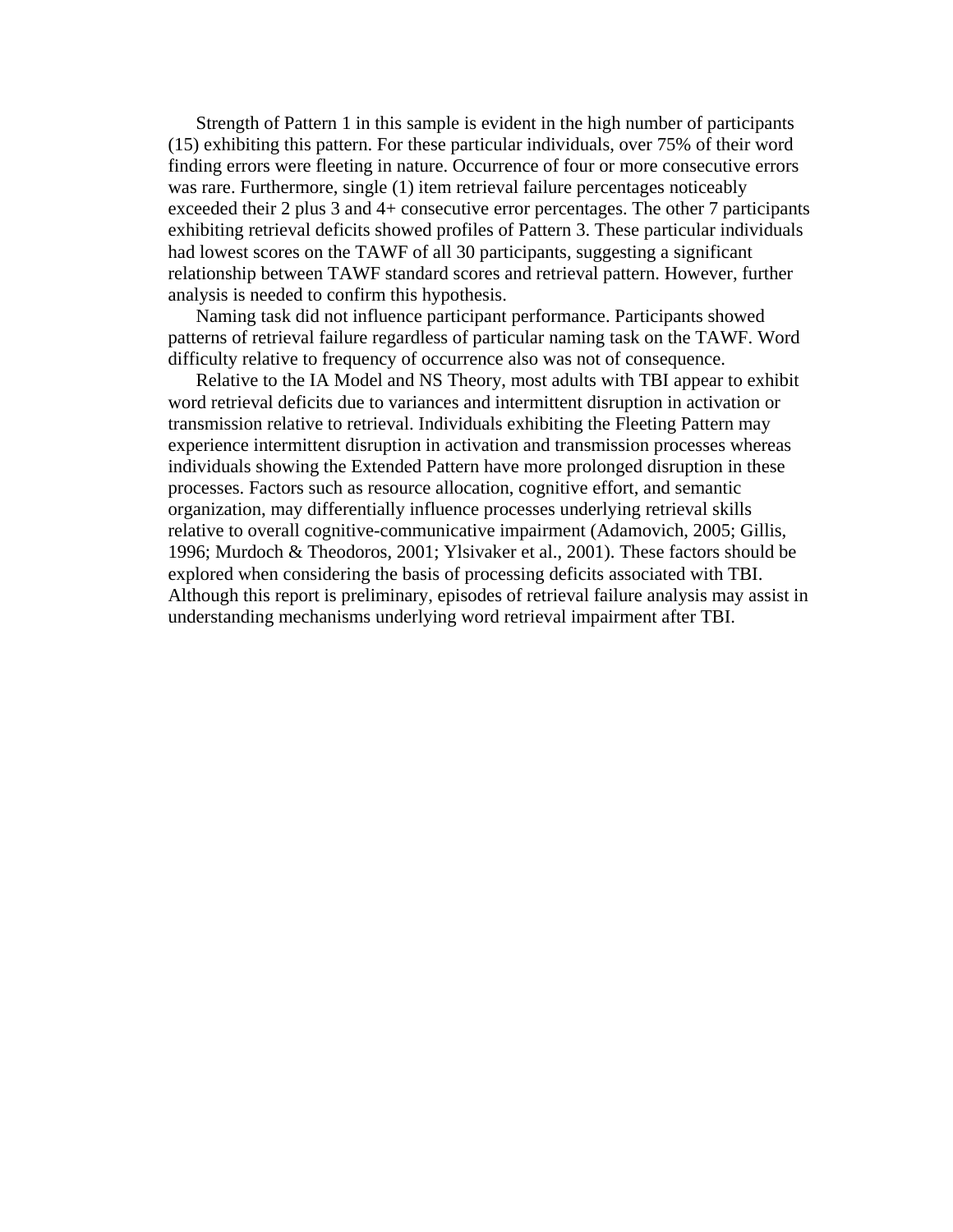Strength of Pattern 1 in this sample is evident in the high number of participants (15) exhibiting this pattern. For these particular individuals, over 75% of their word finding errors were fleeting in nature. Occurrence of four or more consecutive errors was rare. Furthermore, single (1) item retrieval failure percentages noticeably exceeded their 2 plus 3 and 4+ consecutive error percentages. The other 7 participants exhibiting retrieval deficits showed profiles of Pattern 3. These particular individuals had lowest scores on the TAWF of all 30 participants, suggesting a significant relationship between TAWF standard scores and retrieval pattern. However, further analysis is needed to confirm this hypothesis.

Naming task did not influence participant performance. Participants showed patterns of retrieval failure regardless of particular naming task on the TAWF. Word difficulty relative to frequency of occurrence also was not of consequence.

Relative to the IA Model and NS Theory, most adults with TBI appear to exhibit word retrieval deficits due to variances and intermittent disruption in activation or transmission relative to retrieval. Individuals exhibiting the Fleeting Pattern may experience intermittent disruption in activation and transmission processes whereas individuals showing the Extended Pattern have more prolonged disruption in these processes. Factors such as resource allocation, cognitive effort, and semantic organization, may differentially influence processes underlying retrieval skills relative to overall cognitive-communicative impairment (Adamovich, 2005; Gillis, 1996; Murdoch & Theodoros, 2001; Ylsivaker et al., 2001). These factors should be explored when considering the basis of processing deficits associated with TBI. Although this report is preliminary, episodes of retrieval failure analysis may assist in understanding mechanisms underlying word retrieval impairment after TBI.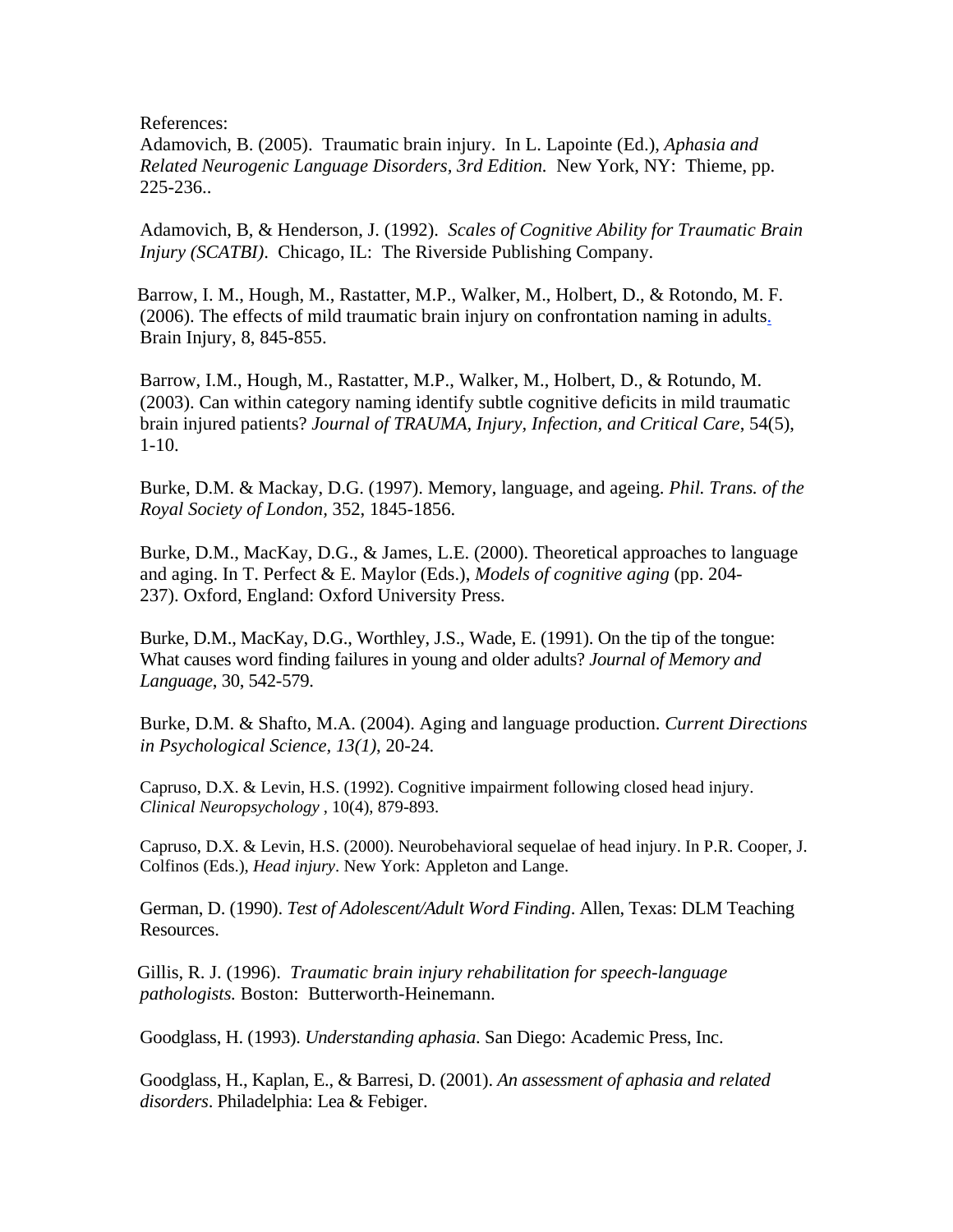References:

Adamovich, B. (2005). Traumatic brain injury. In L. Lapointe (Ed.), *Aphasia and Related Neurogenic Language Disorders, 3rd Edition.* New York, NY: Thieme, pp. 225-236..

Adamovich, B, & Henderson, J. (1992). *Scales of Cognitive Ability for Traumatic Brain Injury (SCATBI)*. Chicago, IL: The Riverside Publishing Company.

 Barrow, I. M., Hough, M., Rastatter, M.P., Walker, M., Holbert, D., & Rotondo, M. F. (2006). The effects of mild traumatic brain injury on confrontation naming in adults. Brain Injury, 8, 845-855.

Barrow, I.M., Hough, M., Rastatter, M.P., Walker, M., Holbert, D., & Rotundo, M. (2003). Can within category naming identify subtle cognitive deficits in mild traumatic brain injured patients? *Journal of TRAUMA, Injury, Infection, and Critical Care*, 54(5), 1-10.

Burke, D.M. & Mackay, D.G. (1997). Memory, language, and ageing. *Phil. Trans. of the Royal Society of London,* 352, 1845-1856.

Burke, D.M., MacKay, D.G., & James, L.E. (2000). Theoretical approaches to language and aging. In T. Perfect & E. Maylor (Eds.), *Models of cognitive aging* (pp. 204- 237). Oxford, England: Oxford University Press.

Burke, D.M., MacKay, D.G., Worthley, J.S., Wade, E. (1991). On the tip of the tongue: What causes word finding failures in young and older adults? *Journal of Memory and Language*, 30, 542-579.

Burke, D.M. & Shafto, M.A. (2004). Aging and language production. *Current Directions in Psychological Science, 13(1)*, 20-24.

Capruso, D.X. & Levin, H.S. (1992). Cognitive impairment following closed head injury. *Clinical Neuropsychology* , 10(4), 879-893.

Capruso, D.X. & Levin, H.S. (2000). Neurobehavioral sequelae of head injury. In P.R. Cooper, J. Colfinos (Eds.), *Head injury*. New York: Appleton and Lange.

German, D. (1990). *Test of Adolescent/Adult Word Finding*. Allen, Texas: DLM Teaching Resources.

 Gillis, R. J. (1996). *Traumatic brain injury rehabilitation for speech-language pathologists.* Boston: Butterworth-Heinemann.

Goodglass, H. (1993). *Understanding aphasia*. San Diego: Academic Press, Inc.

Goodglass, H., Kaplan, E., & Barresi, D. (2001). *An assessment of aphasia and related disorders*. Philadelphia: Lea & Febiger.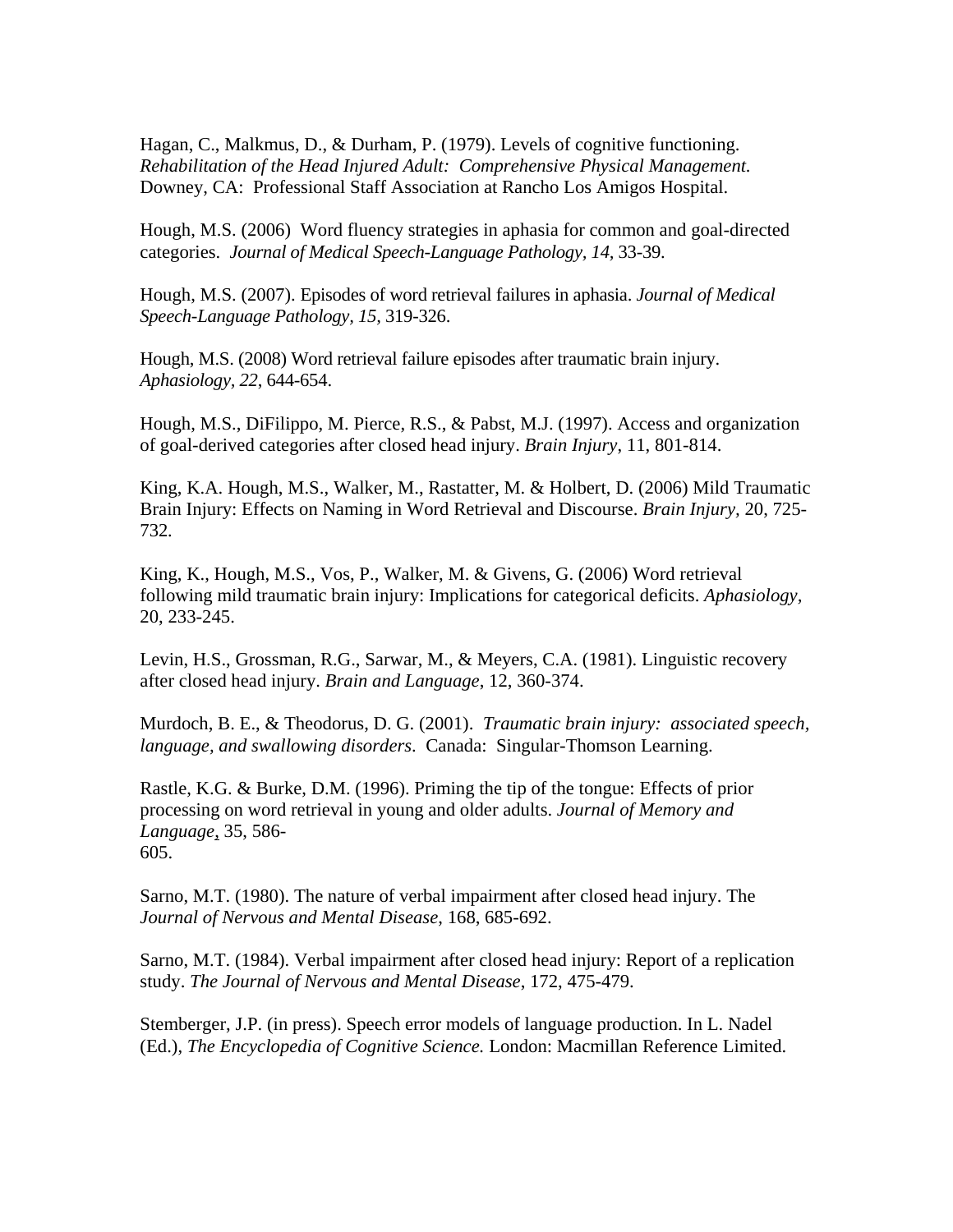Hagan, C., Malkmus, D., & Durham, P. (1979). Levels of cognitive functioning. *Rehabilitation of the Head Injured Adult: Comprehensive Physical Management.* Downey, CA: Professional Staff Association at Rancho Los Amigos Hospital.

Hough, M.S. (2006) Word fluency strategies in aphasia for common and goal-directed categories. *Journal of Medical Speech-Language Pathology, 14,* 33-39.

Hough, M.S. (2007). Episodes of word retrieval failures in aphasia. *Journal of Medical Speech-Language Pathology, 15,* 319-326.

Hough, M.S. (2008) Word retrieval failure episodes after traumatic brain injury. *Aphasiology, 22*, 644-654.

Hough, M.S., DiFilippo, M. Pierce, R.S., & Pabst, M.J. (1997). Access and organization of goal-derived categories after closed head injury. *Brain Injury*, 11, 801-814.

King, K.A. Hough, M.S., Walker, M., Rastatter, M. & Holbert, D. (2006) Mild Traumatic Brain Injury: Effects on Naming in Word Retrieval and Discourse. *Brain Injury,* 20, 725- 732*.*

King, K., Hough, M.S., Vos, P., Walker, M. & Givens, G. (2006) Word retrieval following mild traumatic brain injury: Implications for categorical deficits. *Aphasiology,*  20, 233-245.

Levin, H.S., Grossman, R.G., Sarwar, M., & Meyers, C.A. (1981). Linguistic recovery after closed head injury. *Brain and Language*, 12, 360-374.

Murdoch, B. E., & Theodorus, D. G. (2001). *Traumatic brain injury: associated speech, language, and swallowing disorders*. Canada: Singular-Thomson Learning.

Rastle, K.G. & Burke, D.M. (1996). Priming the tip of the tongue: Effects of prior processing on word retrieval in young and older adults. *Journal of Memory and Language*, 35, 586- 605.

Sarno, M.T. (1980). The nature of verbal impairment after closed head injury. The *Journal of Nervous and Mental Disease*, 168, 685-692.

Sarno, M.T. (1984). Verbal impairment after closed head injury: Report of a replication study. *The Journal of Nervous and Mental Disease*, 172, 475-479.

Stemberger, J.P. (in press). Speech error models of language production. In L. Nadel (Ed.), *The Encyclopedia of Cognitive Science.* London: Macmillan Reference Limited.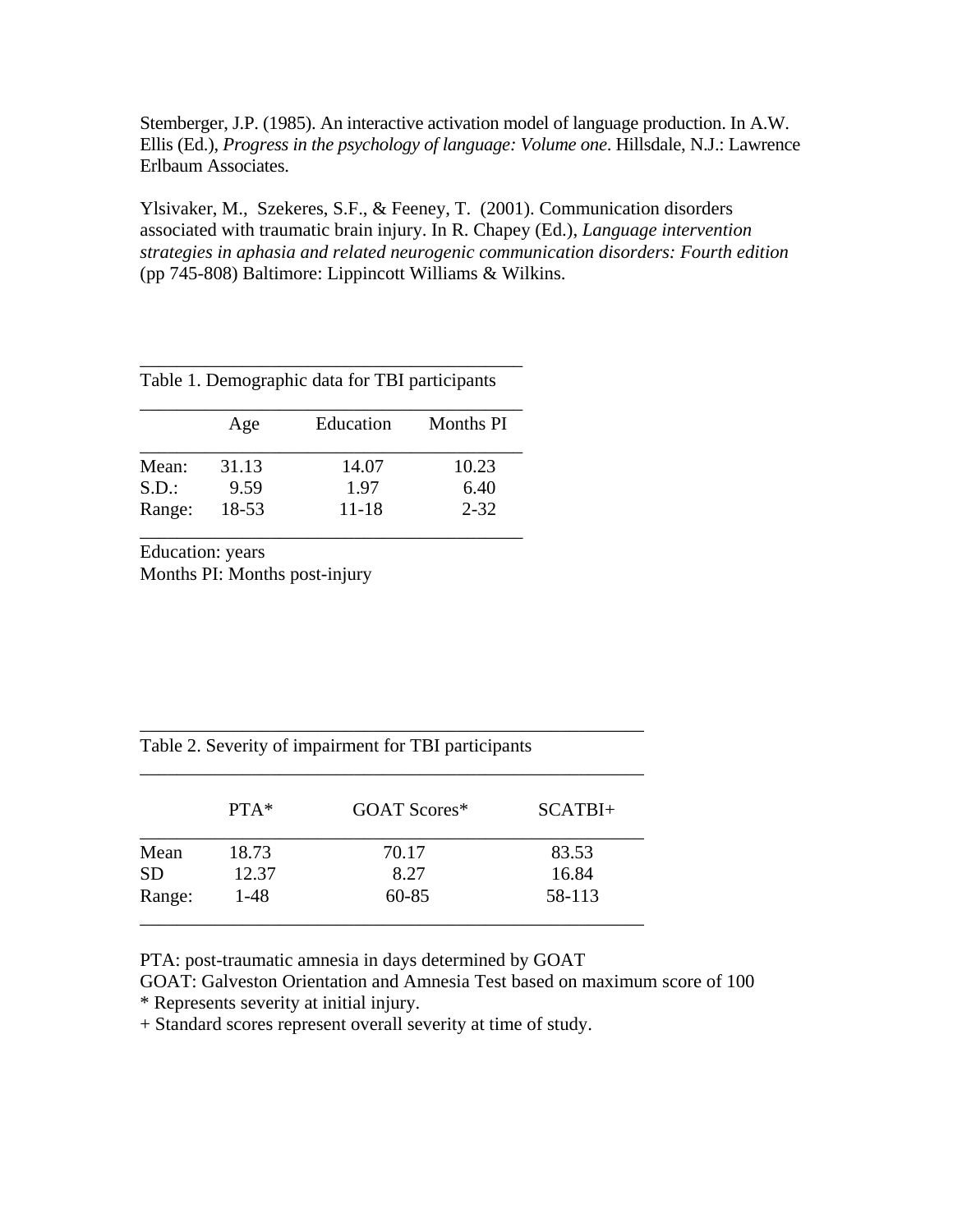Stemberger, J.P. (1985). An interactive activation model of language production. In A.W. Ellis (Ed.), *Progress in the psychology of language: Volume one*. Hillsdale, N.J.: Lawrence Erlbaum Associates.

Ylsivaker, M., Szekeres, S.F., & Feeney, T. (2001). Communication disorders associated with traumatic brain injury. In R. Chapey (Ed.), *Language intervention strategies in aphasia and related neurogenic communication disorders: Fourth edition* (pp 745-808) Baltimore: Lippincott Williams & Wilkins.

|        | Age   | Education | Months PI |
|--------|-------|-----------|-----------|
| Mean:  | 31.13 | 14.07     | 10.23     |
| S.D.   | 9.59  | 1.97      | 6.40      |
| Range: | 18-53 | $11 - 18$ | $2 - 32$  |

\_\_\_\_\_\_\_\_\_\_\_\_\_\_\_\_\_\_\_\_\_\_\_\_\_\_\_\_\_\_\_\_\_\_\_\_\_\_\_\_\_

Education: years Months PI: Months post-injury

| Table 2. Severity of impairment for TBI participants |                        |           |           |  |
|------------------------------------------------------|------------------------|-----------|-----------|--|
|                                                      | $PTA*$<br>GOAT Scores* |           | $SCATBI+$ |  |
| Mean                                                 | 18.73                  | 70.17     | 83.53     |  |
| <b>SD</b>                                            | 12.37                  | 8.27      | 16.84     |  |
| Range:                                               | $1 - 48$               | $60 - 85$ | 58-113    |  |

PTA: post-traumatic amnesia in days determined by GOAT

GOAT: Galveston Orientation and Amnesia Test based on maximum score of 100

\* Represents severity at initial injury.

+ Standard scores represent overall severity at time of study.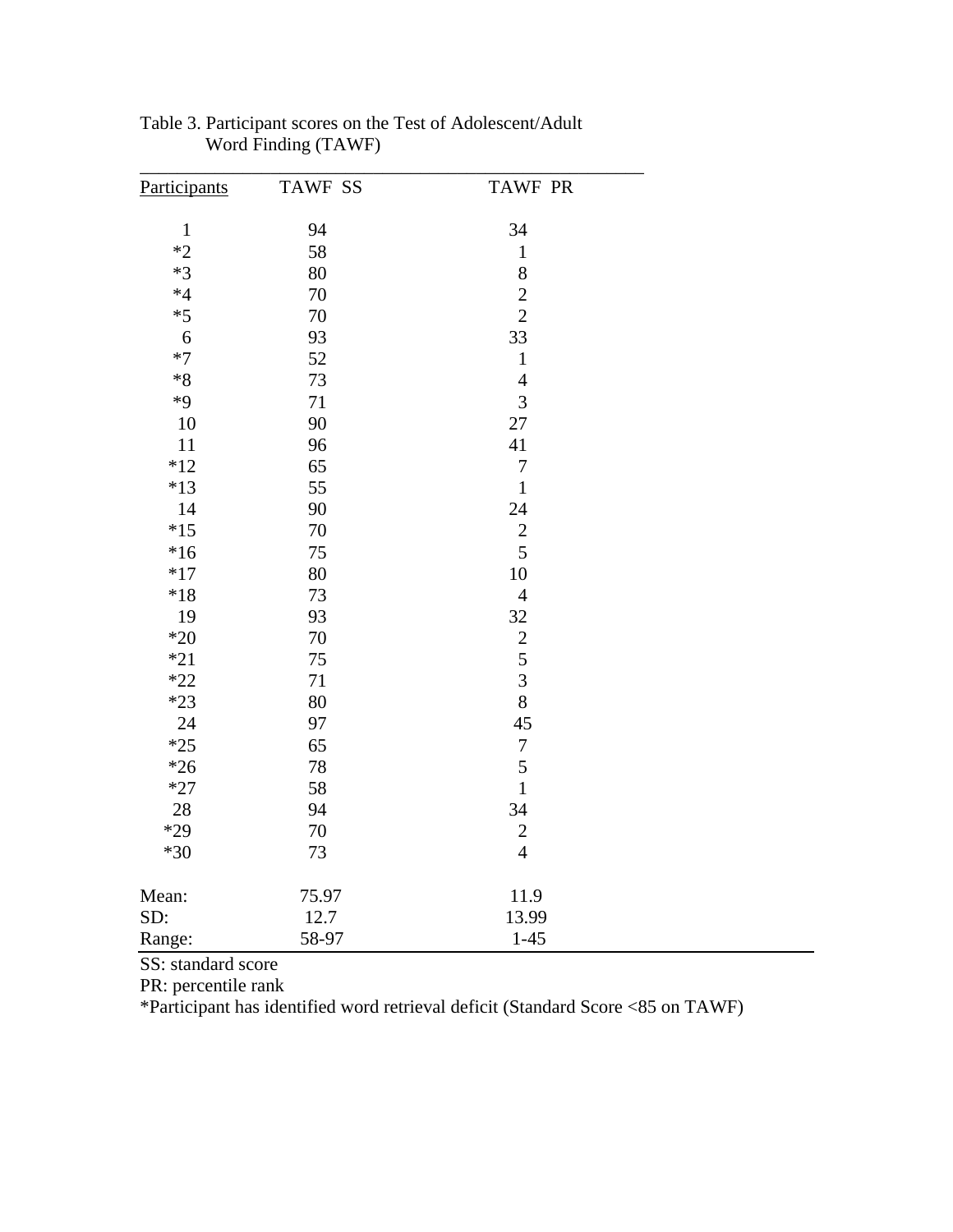| Participants | <b>TAWF SS</b> | <b>TAWF PR</b>                             |
|--------------|----------------|--------------------------------------------|
| $\mathbf 1$  | 94             | 34                                         |
| $*2$         | 58             | $\mathbf 1$                                |
| $*3$         | 80             | 8                                          |
| $*4$         | 70             | $\overline{c}$                             |
| $*5$         | 70             | $\overline{c}$                             |
| 6            | 93             | 33                                         |
| $*7$         | 52             | $\mathbf 1$                                |
| $*8$         | 73             | $\overline{4}$                             |
| $*9$         | 71             | $\overline{3}$                             |
| 10           | 90             | 27                                         |
| 11           | 96             | 41                                         |
| $*12$        | 65             | $\boldsymbol{7}$                           |
| $*13$        | 55             | $\mathbf{1}$                               |
| 14           | 90             | 24                                         |
| $*15$        | 70             | $\overline{c}$                             |
| $*16$        | 75             | 5                                          |
| $*17$        | 80             | 10                                         |
| $*18$        | 73             | $\overline{4}$                             |
| 19           | 93             | 32                                         |
| $*20$        | 70             |                                            |
| $*21$        | 75             | $\begin{array}{c} 2 \\ 5 \\ 3 \end{array}$ |
| $*22$        | 71             |                                            |
| $*23$        | 80             | 8                                          |
| 24           | 97             | 45                                         |
| $*25$        | 65             | $\boldsymbol{7}$                           |
| $*26$        | 78             | 5                                          |
| $*27$        | 58             | $\mathbf{1}$                               |
| 28           | 94             | 34                                         |
| $*29$        | 70             | $\sqrt{2}$                                 |
| $*30$        | 73             | $\overline{4}$                             |
| Mean:        | 75.97          | 11.9                                       |
| SD:          | 12.7           | 13.99                                      |
| Range:       | 58-97          | $1 - 45$                                   |

| Table 3. Participant scores on the Test of Adolescent/Adult |  |
|-------------------------------------------------------------|--|
| Word Finding (TAWF)                                         |  |

SS: standard score

PR: percentile rank

\*Participant has identified word retrieval deficit (Standard Score <85 on TAWF)